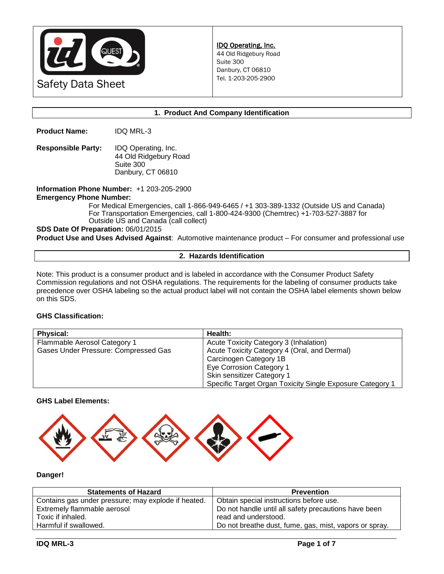

### **1. Product And Company Identification**

**Product Name:** IDQ MRL-3

**Responsible Party:** IDQ Operating, Inc. 44 Old Ridgebury Road Suite 300 Danbury, CT 06810

**Information Phone Number:** +1 203-205-2900 **Emergency Phone Number:** 

For Medical Emergencies, call 1-866-949-6465 / +1 303-389-1332 (Outside US and Canada) For Transportation Emergencies, call 1-800-424-9300 (Chemtrec) +1-703-527-3887 for Outside US and Canada (call collect)

#### **SDS Date Of Preparation:** 06/01/2015

**Product Use and Uses Advised Against**: Automotive maintenance product – For consumer and professional use

#### **2. Hazards Identification**

Note: This product is a consumer product and is labeled in accordance with the Consumer Product Safety Commission regulations and not OSHA regulations. The requirements for the labeling of consumer products take precedence over OSHA labeling so the actual product label will not contain the OSHA label elements shown below on this SDS.

### **GHS Classification:**

| <b>Physical:</b>                     | Health:                                                   |
|--------------------------------------|-----------------------------------------------------------|
| Flammable Aerosol Category 1         | Acute Toxicity Category 3 (Inhalation)                    |
| Gases Under Pressure: Compressed Gas | Acute Toxicity Category 4 (Oral, and Dermal)              |
|                                      | Carcinogen Category 1B                                    |
|                                      | Eye Corrosion Category 1                                  |
|                                      | Skin sensitizer Category 1                                |
|                                      | Specific Target Organ Toxicity Single Exposure Category 1 |

### **GHS Label Elements:**



## **Danger!**

| <b>Statements of Hazard</b>                         | <b>Prevention</b>                                      |
|-----------------------------------------------------|--------------------------------------------------------|
| Contains gas under pressure; may explode if heated. | Obtain special instructions before use.                |
| Extremely flammable aerosol                         | Do not handle until all safety precautions have been   |
| Toxic if inhaled.                                   | read and understood.                                   |
| Harmful if swallowed.                               | Do not breathe dust, fume, gas, mist, vapors or spray. |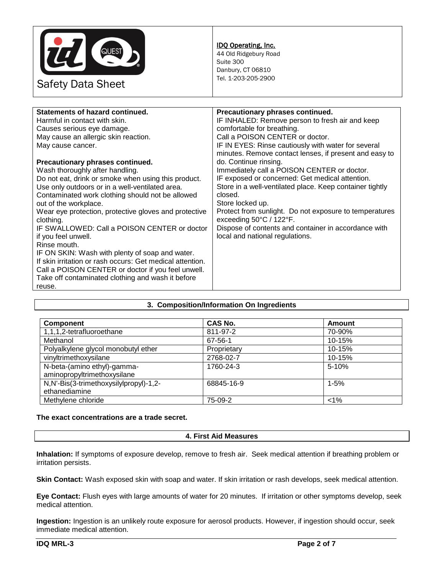

### IDQ Operating, Inc.

44 Old Ridgebury Road Suite 300 Danbury, CT 06810 Tel. 1-203-205-2900

| Statements of hazard continued.                           | Precautionary phrases continued.                         |
|-----------------------------------------------------------|----------------------------------------------------------|
| Harmful in contact with skin.                             | IF INHALED: Remove person to fresh air and keep          |
| Causes serious eye damage.                                | comfortable for breathing.                               |
| May cause an allergic skin reaction.                      | Call a POISON CENTER or doctor.                          |
| May cause cancer.                                         | IF IN EYES: Rinse cautiously with water for several      |
|                                                           | minutes. Remove contact lenses, if present and easy to   |
| Precautionary phrases continued.                          | do. Continue rinsing.                                    |
| Wash thoroughly after handling.                           | Immediately call a POISON CENTER or doctor.              |
| Do not eat, drink or smoke when using this product.       | IF exposed or concerned: Get medical attention.          |
| Use only outdoors or in a well-ventilated area.           | Store in a well-ventilated place. Keep container tightly |
| Contaminated work clothing should not be allowed          | closed.                                                  |
| out of the workplace.                                     | Store locked up.                                         |
| Wear eye protection, protective gloves and protective     | Protect from sunlight. Do not exposure to temperatures   |
| clothing.                                                 | exceeding 50°C / 122°F.                                  |
| IF SWALLOWED: Call a POISON CENTER or doctor              | Dispose of contents and container in accordance with     |
| if you feel unwell.                                       | local and national regulations.                          |
| Rinse mouth.                                              |                                                          |
| IF ON SKIN: Wash with plenty of soap and water.           |                                                          |
| If skin irritation or rash occurs: Get medical attention. |                                                          |
| Call a POISON CENTER or doctor if you feel unwell.        |                                                          |
| Take off contaminated clothing and wash it before         |                                                          |
| reuse.                                                    |                                                          |
|                                                           |                                                          |

# **3. Composition/Information On Ingredients**

| <b>Component</b>                                           | <b>CAS No.</b> | <b>Amount</b> |
|------------------------------------------------------------|----------------|---------------|
| 1,1,1,2-tetrafluoroethane                                  | 811-97-2       | 70-90%        |
| Methanol                                                   | 67-56-1        | $10 - 15%$    |
| Polyalkylene glycol monobutyl ether                        | Proprietary    | 10-15%        |
| vinyltrimethoxysilane                                      | 2768-02-7      | 10-15%        |
| N-beta-(amino ethyl)-gamma-<br>aminopropyltrimethoxysilane | 1760-24-3      | $5 - 10%$     |
| N,N'-Bis(3-trimethoxysilylpropyl)-1,2-<br>ethanediamine    | 68845-16-9     | $1 - 5%$      |
| Methylene chloride                                         | 75-09-2        | $< 1\%$       |

### **The exact concentrations are a trade secret.**

# **4. First Aid Measures**

**Inhalation:** If symptoms of exposure develop, remove to fresh air. Seek medical attention if breathing problem or irritation persists.

**Skin Contact:** Wash exposed skin with soap and water. If skin irritation or rash develops, seek medical attention.

**Eye Contact:** Flush eyes with large amounts of water for 20 minutes. If irritation or other symptoms develop, seek medical attention.

**Ingestion:** Ingestion is an unlikely route exposure for aerosol products. However, if ingestion should occur, seek immediate medical attention.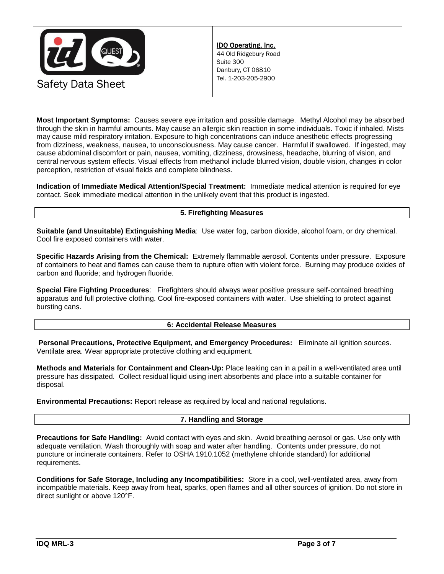

**Most Important Symptoms:** Causes severe eye irritation and possible damage. Methyl Alcohol may be absorbed through the skin in harmful amounts. May cause an allergic skin reaction in some individuals. Toxic if inhaled. Mists may cause mild respiratory irritation. Exposure to high concentrations can induce anesthetic effects progressing from dizziness, weakness, nausea, to unconsciousness. May cause cancer. Harmful if swallowed. If ingested, may cause abdominal discomfort or pain, nausea, vomiting, dizziness, drowsiness, headache, blurring of vision, and central nervous system effects. Visual effects from methanol include blurred vision, double vision, changes in color perception, restriction of visual fields and complete blindness.

**Indication of Immediate Medical Attention/Special Treatment:** Immediate medical attention is required for eye contact. Seek immediate medical attention in the unlikely event that this product is ingested.

# **5. Firefighting Measures**

**Suitable (and Unsuitable) Extinguishing Media**: Use water fog, carbon dioxide, alcohol foam, or dry chemical. Cool fire exposed containers with water.

**Specific Hazards Arising from the Chemical:** Extremely flammable aerosol. Contents under pressure. Exposure of containers to heat and flames can cause them to rupture often with violent force. Burning may produce oxides of carbon and fluoride; and hydrogen fluoride.

**Special Fire Fighting Procedures**: Firefighters should always wear positive pressure self-contained breathing apparatus and full protective clothing. Cool fire-exposed containers with water. Use shielding to protect against bursting cans.

### **6: Accidental Release Measures**

**Personal Precautions, Protective Equipment, and Emergency Procedures:** Eliminate all ignition sources. Ventilate area. Wear appropriate protective clothing and equipment.

**Methods and Materials for Containment and Clean-Up:** Place leaking can in a pail in a well-ventilated area until pressure has dissipated. Collect residual liquid using inert absorbents and place into a suitable container for disposal.

**Environmental Precautions:** Report release as required by local and national regulations.

# **7. Handling and Storage**

**Precautions for Safe Handling:** Avoid contact with eyes and skin. Avoid breathing aerosol or gas. Use only with adequate ventilation. Wash thoroughly with soap and water after handling. Contents under pressure, do not puncture or incinerate containers. Refer to OSHA 1910.1052 (methylene chloride standard) for additional requirements.

**Conditions for Safe Storage, Including any Incompatibilities:** Store in a cool, well-ventilated area, away from incompatible materials. Keep away from heat, sparks, open flames and all other sources of ignition. Do not store in direct sunlight or above 120°F.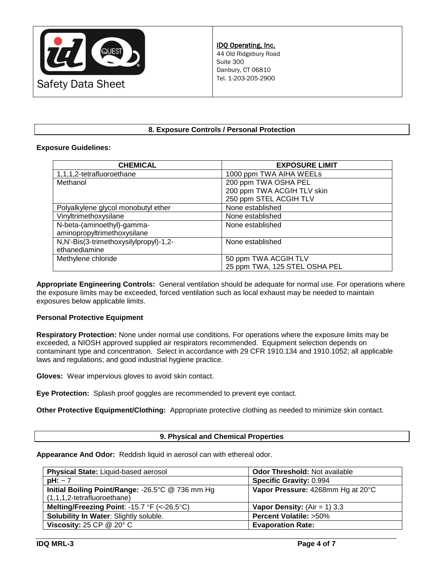

# **8. Exposure Controls / Personal Protection**

## **Exposure Guidelines:**

| <b>CHEMICAL</b>                        | <b>EXPOSURE LIMIT</b>         |
|----------------------------------------|-------------------------------|
| 1,1,1,2-tetrafluoroethane              | 1000 ppm TWA AIHA WEELs       |
| Methanol                               | 200 ppm TWA OSHA PEL          |
|                                        | 200 ppm TWA ACGIH TLV skin    |
|                                        | 250 ppm STEL ACGIH TLV        |
| Polyalkylene glycol monobutyl ether    | None established              |
| Vinyltrimethoxysilane                  | None established              |
| N-beta-(aminoethyl)-gamma-             | None established              |
| aminopropyltrimethoxysilane            |                               |
| N,N'-Bis(3-trimethoxysilylpropyl)-1,2- | None established              |
| ethanediamine                          |                               |
| Methylene chloride                     | 50 ppm TWA ACGIH TLV          |
|                                        | 25 ppm TWA, 125 STEL OSHA PEL |

**Appropriate Engineering Controls:** General ventilation should be adequate for normal use. For operations where the exposure limits may be exceeded, forced ventilation such as local exhaust may be needed to maintain exposures below applicable limits.

# **Personal Protective Equipment**

**Respiratory Protection:** None under normal use conditions. For operations where the exposure limits may be exceeded, a NIOSH approved supplied air respirators recommended. Equipment selection depends on contaminant type and concentration. Select in accordance with 29 CFR 1910.134 and 1910.1052; all applicable laws and regulations; and good industrial hygiene practice.

**Gloves:** Wear impervious gloves to avoid skin contact.

**Eye Protection:** Splash proof goggles are recommended to prevent eye contact.

**Other Protective Equipment/Clothing:** Appropriate protective clothing as needed to minimize skin contact.

### **9. Physical and Chemical Properties**

**Appearance And Odor:** Reddish liquid in aerosol can with ethereal odor.

| Physical State: Liquid-based aerosol             | <b>Odor Threshold: Not available</b> |
|--------------------------------------------------|--------------------------------------|
| $pH: \sim 7$                                     | <b>Specific Gravity: 0.994</b>       |
| Initial Boiling Point/Range: -26.5°C @ 736 mm Hg | Vapor Pressure: 4268mm Hg at 20°C    |
| $(1,1,1,2$ -tetrafluoroethane)                   |                                      |
| Melting/Freezing Point: -15.7 °F (<-26.5 °C)     | <b>Vapor Density:</b> (Air = 1) 3.3  |
| Solubility In Water: Slightly soluble.           | <b>Percent Volatile: &gt;50%</b>     |
| Viscosity: 25 CP $@$ 20 $°C$                     | <b>Evaporation Rate:</b>             |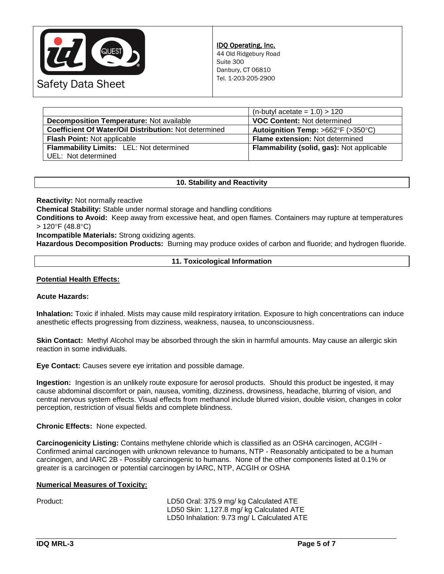

|                                                       | $(n$ -butyl acetate = 1.0) > 120                       |
|-------------------------------------------------------|--------------------------------------------------------|
| <b>Decomposition Temperature: Not available</b>       | <b>VOC Content: Not determined</b>                     |
| Coefficient Of Water/Oil Distribution: Not determined | Autoignition Temp: $>662^{\circ}F$ ( $>350^{\circ}C$ ) |
| <b>Flash Point: Not applicable</b>                    | Flame extension: Not determined                        |
| <b>Flammability Limits: LEL: Not determined</b>       | Flammability (solid, gas): Not applicable              |
| UEL: Not determined                                   |                                                        |

## **10. Stability and Reactivity**

**Reactivity:** Not normally reactive

**Chemical Stability:** Stable under normal storage and handling conditions

**Conditions to Avoid:** Keep away from excessive heat, and open flames. Containers may rupture at temperatures  $> 120^{\circ}$ F (48.8 $^{\circ}$ C)

**Incompatible Materials:** Strong oxidizing agents.

**Hazardous Decomposition Products:** Burning may produce oxides of carbon and fluoride; and hydrogen fluoride.

## **11. Toxicological Information**

### **Potential Health Effects:**

### **Acute Hazards:**

**Inhalation:** Toxic if inhaled. Mists may cause mild respiratory irritation. Exposure to high concentrations can induce anesthetic effects progressing from dizziness, weakness, nausea, to unconsciousness.

**Skin Contact:** Methyl Alcohol may be absorbed through the skin in harmful amounts. May cause an allergic skin reaction in some individuals.

**Eye Contact:** Causes severe eye irritation and possible damage.

**Ingestion:** Ingestion is an unlikely route exposure for aerosol products. Should this product be ingested, it may cause abdominal discomfort or pain, nausea, vomiting, dizziness, drowsiness, headache, blurring of vision, and central nervous system effects. Visual effects from methanol include blurred vision, double vision, changes in color perception, restriction of visual fields and complete blindness.

### **Chronic Effects:** None expected.

**Carcinogenicity Listing:** Contains methylene chloride which is classified as an OSHA carcinogen, ACGIH - Confirmed animal carcinogen with unknown relevance to humans, NTP - Reasonably anticipated to be a human carcinogen, and IARC 2B - Possibly carcinogenic to humans. None of the other components listed at 0.1% or greater is a carcinogen or potential carcinogen by IARC, NTP, ACGIH or OSHA

### **Numerical Measures of Toxicity:**

Product: LD50 Oral: 375.9 mg/ kg Calculated ATE LD50 Skin: 1,127.8 mg/ kg Calculated ATE LD50 Inhalation: 9.73 mg/ L Calculated ATE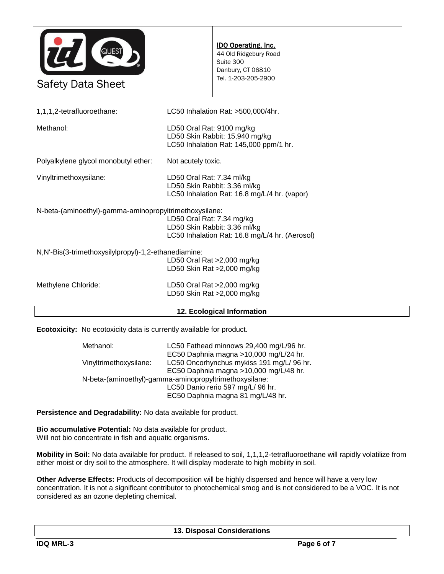

| LD50 Skin Rat >2,000 mg/kg                                                          |  |  |
|-------------------------------------------------------------------------------------|--|--|
| LD50 Oral Rat >2,000 mg/kg                                                          |  |  |
| LD50 Skin Rat >2,000 mg/kg                                                          |  |  |
| N,N'-Bis(3-trimethoxysilylpropyl)-1,2-ethanediamine:<br>LD50 Oral Rat >2,000 mg/kg  |  |  |
|                                                                                     |  |  |
| LC50 Inhalation Rat: 16.8 mg/L/4 hr. (Aerosol)                                      |  |  |
| LD50 Skin Rabbit: 3.36 ml/kg                                                        |  |  |
| N-beta-(aminoethyl)-gamma-aminopropyltrimethoxysilane:<br>LD50 Oral Rat: 7.34 mg/kg |  |  |
|                                                                                     |  |  |
| LC50 Inhalation Rat: 16.8 mg/L/4 hr. (vapor)                                        |  |  |
| LD50 Oral Rat: 7.34 ml/kg<br>LD50 Skin Rabbit: 3.36 ml/kg                           |  |  |
|                                                                                     |  |  |
| Not acutely toxic.                                                                  |  |  |
| LD50 Skin Rabbit: 15,940 mg/kg<br>LC50 Inhalation Rat: 145,000 ppm/1 hr.            |  |  |
| LD50 Oral Rat: 9100 mg/kg                                                           |  |  |
| LC50 Inhalation Rat: >500,000/4hr.                                                  |  |  |
|                                                                                     |  |  |

**Ecotoxicity:** No ecotoxicity data is currently available for product.

| Methanol:                                              | LC50 Fathead minnows 29,400 mg/L/96 hr.   |  |  |
|--------------------------------------------------------|-------------------------------------------|--|--|
|                                                        | EC50 Daphnia magna >10,000 mg/L/24 hr.    |  |  |
| Vinyltrimethoxysilane:                                 | LC50 Oncorhynchus mykiss 191 mg/L/ 96 hr. |  |  |
|                                                        | EC50 Daphnia magna >10,000 mg/L/48 hr.    |  |  |
| N-beta-(aminoethyl)-gamma-aminopropyltrimethoxysilane: |                                           |  |  |
|                                                        | LC50 Danio rerio 597 mg/L/ 96 hr.         |  |  |
|                                                        | EC50 Daphnia magna 81 mg/L/48 hr.         |  |  |

**Persistence and Degradability:** No data available for product.

**Bio accumulative Potential:** No data available for product. Will not bio concentrate in fish and aquatic organisms.

**Mobility in Soil:** No data available for product. If released to soil, 1,1,1,2-tetrafluoroethane will rapidly volatilize from either moist or dry soil to the atmosphere. It will display moderate to high mobility in soil.

**Other Adverse Effects:** Products of decomposition will be highly dispersed and hence will have a very low concentration. It is not a significant contributor to photochemical smog and is not considered to be a VOC. It is not considered as an ozone depleting chemical.

**13. Disposal Considerations**